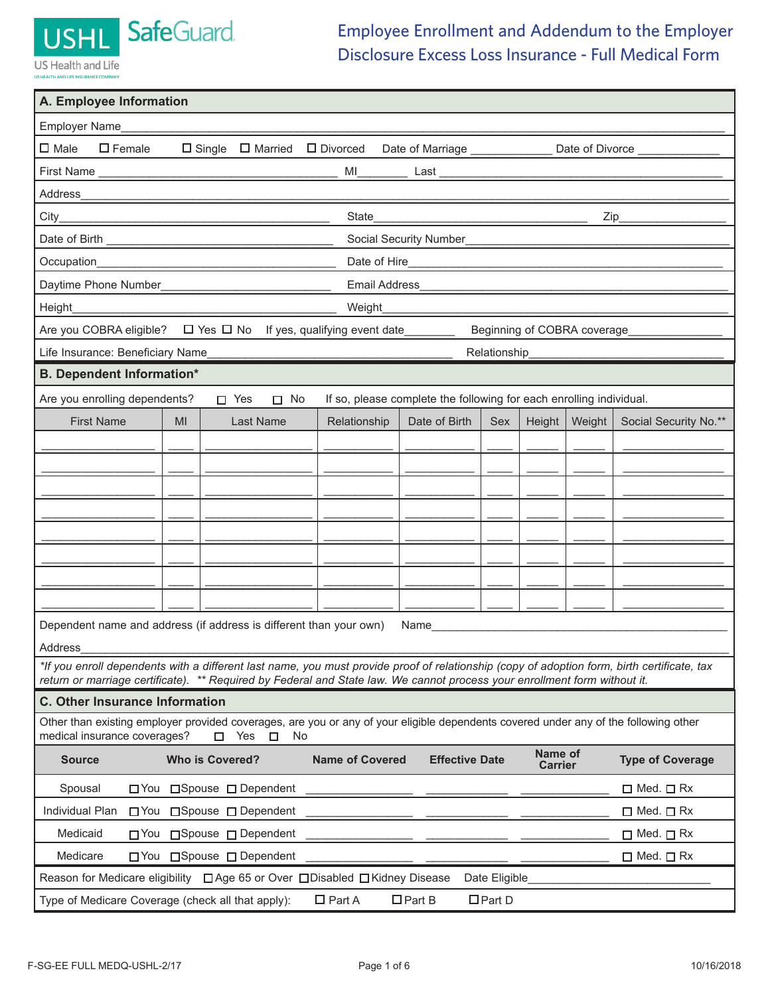

**AND LIFE INSI** 

## Employee Enrollment and Addendum to the Employer Disclosure Excess Loss Insurance - Full Medical Form

| A. Employee Information                                                                                                                                                                                                                                                  |  |  |  |  |
|--------------------------------------------------------------------------------------------------------------------------------------------------------------------------------------------------------------------------------------------------------------------------|--|--|--|--|
| Employer Name                                                                                                                                                                                                                                                            |  |  |  |  |
| $\square$ Female<br>$\square$ Male<br>$\Box$ Single $\Box$ Married<br>□ Divorced<br>Date of Marriage _____________<br>Date of Divorce                                                                                                                                    |  |  |  |  |
| MI<br>Last                                                                                                                                                                                                                                                               |  |  |  |  |
| Address                                                                                                                                                                                                                                                                  |  |  |  |  |
| City<br>State<br>$Zip_$<br><u> 1989 - Johann Stoff, fransk politik (d. 1989)</u>                                                                                                                                                                                         |  |  |  |  |
| Social Security Number                                                                                                                                                                                                                                                   |  |  |  |  |
| Occupation<br>Date of Hire                                                                                                                                                                                                                                               |  |  |  |  |
| Daytime Phone Number<br><b>Email Address</b>                                                                                                                                                                                                                             |  |  |  |  |
| Height<br>Weight                                                                                                                                                                                                                                                         |  |  |  |  |
| $\Box$ Yes $\Box$ No If yes, qualifying event date<br>Are you COBRA eligible?<br>Beginning of COBRA coverage                                                                                                                                                             |  |  |  |  |
| Life Insurance: Beneficiary Name<br>Relationship                                                                                                                                                                                                                         |  |  |  |  |
| <b>B. Dependent Information*</b>                                                                                                                                                                                                                                         |  |  |  |  |
| Are you enrolling dependents?<br>If so, please complete the following for each enrolling individual.<br>$\Box$ Yes<br>$\square$ No                                                                                                                                       |  |  |  |  |
| <b>First Name</b><br>Weight<br>Social Security No.**<br>MI<br>Last Name<br>Relationship<br>Date of Birth<br>Sex<br>Height                                                                                                                                                |  |  |  |  |
|                                                                                                                                                                                                                                                                          |  |  |  |  |
|                                                                                                                                                                                                                                                                          |  |  |  |  |
|                                                                                                                                                                                                                                                                          |  |  |  |  |
|                                                                                                                                                                                                                                                                          |  |  |  |  |
|                                                                                                                                                                                                                                                                          |  |  |  |  |
|                                                                                                                                                                                                                                                                          |  |  |  |  |
|                                                                                                                                                                                                                                                                          |  |  |  |  |
|                                                                                                                                                                                                                                                                          |  |  |  |  |
| Dependent name and address (if address is different than your own)<br>Name                                                                                                                                                                                               |  |  |  |  |
| Address                                                                                                                                                                                                                                                                  |  |  |  |  |
| *If you enroll dependents with a different last name, you must provide proof of relationship (copy of adoption form, birth certificate, tax<br>return or marriage certificate). ** Required by Federal and State law. We cannot process your enrollment form without it. |  |  |  |  |
| <b>C. Other Insurance Information</b>                                                                                                                                                                                                                                    |  |  |  |  |
| Other than existing employer provided coverages, are you or any of your eligible dependents covered under any of the following other<br>medical insurance coverages?<br>Yes<br>$\Box$<br>No<br>п                                                                         |  |  |  |  |
| Name of<br><b>Who is Covered?</b><br><b>Name of Covered</b><br><b>Effective Date</b><br><b>Type of Coverage</b><br><b>Source</b><br><b>Carrier</b>                                                                                                                       |  |  |  |  |
| □Spouse □ Dependent<br>Spousal<br>$\Box$ Med. $\Box$ Rx<br>⊟ You                                                                                                                                                                                                         |  |  |  |  |
| Individual Plan<br>□ Spouse □ Dependent<br>$\Box$ Med. $\Box$ Rx<br>$\Box$ You                                                                                                                                                                                           |  |  |  |  |
| Medicaid<br>□ You □ Spouse □ Dependent<br>$\Box$ Med. $\Box$ Rx                                                                                                                                                                                                          |  |  |  |  |
| Medicare<br>$\Box$ Med. $\Box$ Rx<br>□ You □ Spouse □ Dependent                                                                                                                                                                                                          |  |  |  |  |
| Reason for Medicare eligibility □ Age 65 or Over □ Disabled □ Kidney Disease<br>Date Eligible                                                                                                                                                                            |  |  |  |  |
| $\Box$ Part D<br>$\Box$ Part A<br>$\Box$ Part B<br>Type of Medicare Coverage (check all that apply):                                                                                                                                                                     |  |  |  |  |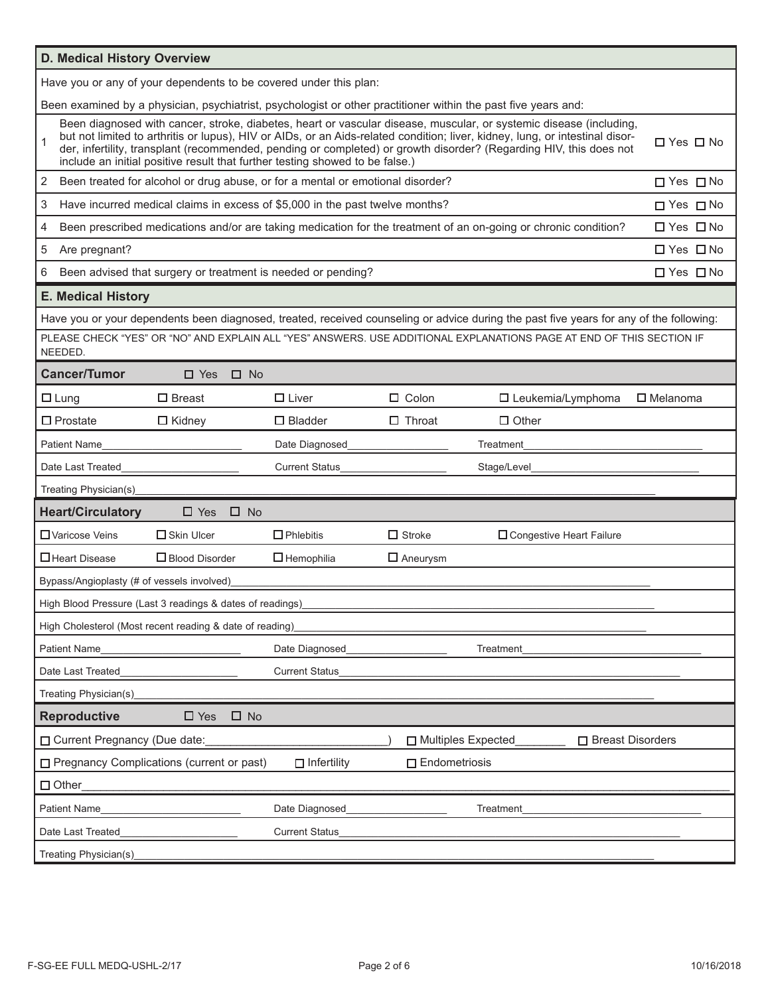| D. Medical History Overview                |                                                                                                                                                                                                                                                                                                                                                                                                                                                                        |                       |                      |                                                                                                                                         |                      |
|--------------------------------------------|------------------------------------------------------------------------------------------------------------------------------------------------------------------------------------------------------------------------------------------------------------------------------------------------------------------------------------------------------------------------------------------------------------------------------------------------------------------------|-----------------------|----------------------|-----------------------------------------------------------------------------------------------------------------------------------------|----------------------|
|                                            | Have you or any of your dependents to be covered under this plan:                                                                                                                                                                                                                                                                                                                                                                                                      |                       |                      |                                                                                                                                         |                      |
|                                            |                                                                                                                                                                                                                                                                                                                                                                                                                                                                        |                       |                      | Been examined by a physician, psychiatrist, psychologist or other practitioner within the past five years and:                          |                      |
| 1                                          | Been diagnosed with cancer, stroke, diabetes, heart or vascular disease, muscular, or systemic disease (including,<br>but not limited to arthritis or lupus), HIV or AIDs, or an Aids-related condition; liver, kidney, lung, or intestinal disor-<br>□ Yes □ No<br>der, infertility, transplant (recommended, pending or completed) or growth disorder? (Regarding HIV, this does not<br>include an initial positive result that further testing showed to be false.) |                       |                      |                                                                                                                                         |                      |
| 2                                          | Been treated for alcohol or drug abuse, or for a mental or emotional disorder?                                                                                                                                                                                                                                                                                                                                                                                         |                       |                      |                                                                                                                                         | $\Box$ Yes $\Box$ No |
| 3                                          | Have incurred medical claims in excess of \$5,000 in the past twelve months?                                                                                                                                                                                                                                                                                                                                                                                           |                       |                      |                                                                                                                                         | $\Box$ Yes $\Box$ No |
| 4                                          |                                                                                                                                                                                                                                                                                                                                                                                                                                                                        |                       |                      | Been prescribed medications and/or are taking medication for the treatment of an on-going or chronic condition?                         | $\Box$ Yes $\Box$ No |
| 5<br>Are pregnant?                         |                                                                                                                                                                                                                                                                                                                                                                                                                                                                        |                       |                      |                                                                                                                                         | $\Box$ Yes $\Box$ No |
| 6                                          | Been advised that surgery or treatment is needed or pending?                                                                                                                                                                                                                                                                                                                                                                                                           |                       |                      |                                                                                                                                         | □ Yes □ No           |
| <b>E. Medical History</b>                  |                                                                                                                                                                                                                                                                                                                                                                                                                                                                        |                       |                      |                                                                                                                                         |                      |
|                                            |                                                                                                                                                                                                                                                                                                                                                                                                                                                                        |                       |                      | Have you or your dependents been diagnosed, treated, received counseling or advice during the past five years for any of the following: |                      |
| NEEDED.                                    |                                                                                                                                                                                                                                                                                                                                                                                                                                                                        |                       |                      | PLEASE CHECK "YES" OR "NO" AND EXPLAIN ALL "YES" ANSWERS. USE ADDITIONAL EXPLANATIONS PAGE AT END OF THIS SECTION IF                    |                      |
| <b>Cancer/Tumor</b>                        | $\Box$ Yes<br>$\Box$ No                                                                                                                                                                                                                                                                                                                                                                                                                                                |                       |                      |                                                                                                                                         |                      |
| $\Box$ Lung                                | $\Box$ Breast                                                                                                                                                                                                                                                                                                                                                                                                                                                          | $\Box$ Liver          | $\Box$ Colon         | $\Box$ Leukemia/Lymphoma                                                                                                                | $\square$ Melanoma   |
| $\Box$ Prostate                            | $\Box$ Kidney                                                                                                                                                                                                                                                                                                                                                                                                                                                          | $\Box$ Bladder        | $\Box$ Throat        | $\Box$ Other                                                                                                                            |                      |
| <b>Patient Name</b>                        |                                                                                                                                                                                                                                                                                                                                                                                                                                                                        | Date Diagnosed        |                      | Treatment                                                                                                                               |                      |
| Date Last Treated                          |                                                                                                                                                                                                                                                                                                                                                                                                                                                                        | <b>Current Status</b> |                      | Stage/Level                                                                                                                             |                      |
| Treating Physician(s)                      |                                                                                                                                                                                                                                                                                                                                                                                                                                                                        |                       |                      |                                                                                                                                         |                      |
| <b>Heart/Circulatory</b>                   | $\Box$ Yes<br>$\square$ No                                                                                                                                                                                                                                                                                                                                                                                                                                             |                       |                      |                                                                                                                                         |                      |
| □ Varicose Veins                           | $\Box$ Skin Ulcer                                                                                                                                                                                                                                                                                                                                                                                                                                                      | $\Box$ Phlebitis      | $\Box$ Stroke        | □ Congestive Heart Failure                                                                                                              |                      |
| □ Heart Disease                            | $\Box$ Blood Disorder                                                                                                                                                                                                                                                                                                                                                                                                                                                  | $\Box$ Hemophilia     | $\Box$ Aneurysm      |                                                                                                                                         |                      |
| Bypass/Angioplasty (# of vessels involved) |                                                                                                                                                                                                                                                                                                                                                                                                                                                                        |                       |                      |                                                                                                                                         |                      |
|                                            | High Blood Pressure (Last 3 readings & dates of readings)                                                                                                                                                                                                                                                                                                                                                                                                              |                       |                      |                                                                                                                                         |                      |
|                                            | High Cholesterol (Most recent reading & date of reading)                                                                                                                                                                                                                                                                                                                                                                                                               |                       |                      |                                                                                                                                         |                      |
| Patient Name                               |                                                                                                                                                                                                                                                                                                                                                                                                                                                                        | Date Diagnosed        |                      | Treatment                                                                                                                               |                      |
| Date Last Treated                          |                                                                                                                                                                                                                                                                                                                                                                                                                                                                        | <b>Current Status</b> |                      |                                                                                                                                         |                      |
| Treating Physician(s)                      |                                                                                                                                                                                                                                                                                                                                                                                                                                                                        |                       |                      |                                                                                                                                         |                      |
| <b>Reproductive</b>                        | $\square$ Yes<br>$\square$ No                                                                                                                                                                                                                                                                                                                                                                                                                                          |                       |                      |                                                                                                                                         |                      |
| □ Current Pregnancy (Due date:             |                                                                                                                                                                                                                                                                                                                                                                                                                                                                        |                       | □ Multiples Expected | □ Breast Disorders                                                                                                                      |                      |
|                                            | □ Pregnancy Complications (current or past)                                                                                                                                                                                                                                                                                                                                                                                                                            | $\Box$ Infertility    | $\Box$ Endometriosis |                                                                                                                                         |                      |
| $\Box$ Other                               |                                                                                                                                                                                                                                                                                                                                                                                                                                                                        |                       |                      |                                                                                                                                         |                      |
| <b>Patient Name</b>                        |                                                                                                                                                                                                                                                                                                                                                                                                                                                                        | Date Diagnosed        |                      | Treatment                                                                                                                               |                      |
| Date Last Treated                          |                                                                                                                                                                                                                                                                                                                                                                                                                                                                        | <b>Current Status</b> |                      |                                                                                                                                         |                      |
| Treating Physician(s)                      |                                                                                                                                                                                                                                                                                                                                                                                                                                                                        |                       |                      |                                                                                                                                         |                      |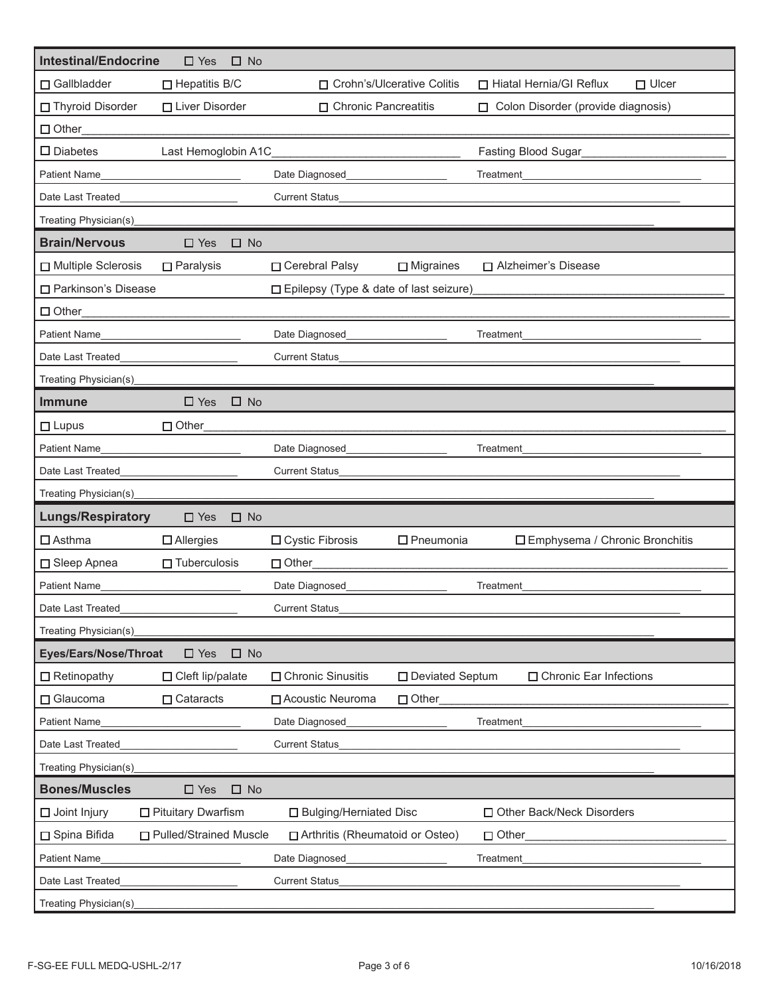| <b>Intestinal/Endocrine</b> | $\Box$ Yes<br>$\square$ No              |                                          |                     |                                           |
|-----------------------------|-----------------------------------------|------------------------------------------|---------------------|-------------------------------------------|
| □ Gallbladder               | $\Box$ Hepatitis B/C                    | □ Crohn's/Ulcerative Colitis             |                     | □ Hiatal Hernia/GI Reflux<br>$\Box$ Ulcer |
| □ Thyroid Disorder          | □ Liver Disorder                        | □ Chronic Pancreatitis                   |                     | □ Colon Disorder (provide diagnosis)      |
| $\Box$ Other                |                                         |                                          |                     |                                           |
| $\square$ Diabetes          | Last Hemoglobin A1C                     |                                          |                     | Fasting Blood Sugar                       |
| <b>Patient Name</b>         |                                         | Date Diagnosed                           |                     | Treatment                                 |
| Date Last Treated           |                                         | <b>Current Status</b>                    |                     |                                           |
| Treating Physician(s)       |                                         |                                          |                     |                                           |
| <b>Brain/Nervous</b>        | $\square$ Yes<br>$\square$ No           |                                          |                     |                                           |
| Multiple Sclerosis          | $\Box$ Paralysis                        | □ Cerebral Palsy                         | $\Box$ Migraines    | □ Alzheimer's Disease                     |
| □ Parkinson's Disease       |                                         | □ Epilepsy (Type & date of last seizure) |                     |                                           |
| $\Box$ Other                |                                         |                                          |                     |                                           |
| Patient Name                | <u> 1980 - Johann Barbara, martxa a</u> | Date Diagnosed                           |                     | Treatment                                 |
| Date Last Treated           |                                         | <b>Current Status</b>                    |                     |                                           |
| Treating Physician(s)       |                                         |                                          |                     |                                           |
| <b>Immune</b>               | $\Box$ Yes<br>$\square$ No              |                                          |                     |                                           |
| $\Box$ Lupus                | □ Other                                 |                                          |                     |                                           |
| <b>Patient Name</b>         |                                         | Date Diagnosed                           |                     | Treatment                                 |
| Date Last Treated           |                                         | <b>Current Status</b>                    |                     |                                           |
| Treating Physician(s)       |                                         |                                          |                     |                                           |
| <b>Lungs/Respiratory</b>    | $\Box$ Yes<br>$\Box$ No                 |                                          |                     |                                           |
| $\Box$ Asthma               | $\Box$ Allergies                        | □ Cystic Fibrosis                        | $\square$ Pneumonia | □ Emphysema / Chronic Bronchitis          |
| □ Sleep Apnea               | $\Box$ Tuberculosis                     | Other                                    |                     |                                           |
| <b>Patient Name</b>         |                                         | Date Diagnosed                           |                     | Treatment                                 |
| Date Last Treated           |                                         | <b>Current Status</b>                    |                     |                                           |
| Treating Physician(s)       |                                         |                                          |                     |                                           |
| Eyes/Ears/Nose/Throat       | $\square$ Yes<br>$\square$ No           |                                          |                     |                                           |
| $\Box$ Retinopathy          | $\Box$ Cleft lip/palate                 | □ Chronic Sinusitis                      | □ Deviated Septum   | □ Chronic Ear Infections                  |
| □ Glaucoma                  | $\Box$ Cataracts                        | □ Acoustic Neuroma                       | $\Box$ Other        |                                           |
| Patient Name                |                                         | Date Diagnosed                           |                     | Treatment                                 |
| Date Last Treated           |                                         | <b>Current Status</b>                    |                     |                                           |
| Treating Physician(s)       |                                         |                                          |                     |                                           |
| <b>Bones/Muscles</b>        | $\square$ No<br>$\square$ Yes           |                                          |                     |                                           |
| $\Box$ Joint Injury         | $\square$ Pituitary Dwarfism            | □ Bulging/Herniated Disc                 |                     | □ Other Back/Neck Disorders               |
| □ Spina Bifida              | □ Pulled/Strained Muscle                | □ Arthritis (Rheumatoid or Osteo)        |                     | $\Box$ Other                              |
| <b>Patient Name</b>         |                                         | Date Diagnosed                           |                     | Treatment                                 |
| Date Last Treated           |                                         | <b>Current Status</b>                    |                     |                                           |
| Treating Physician(s)       |                                         |                                          |                     |                                           |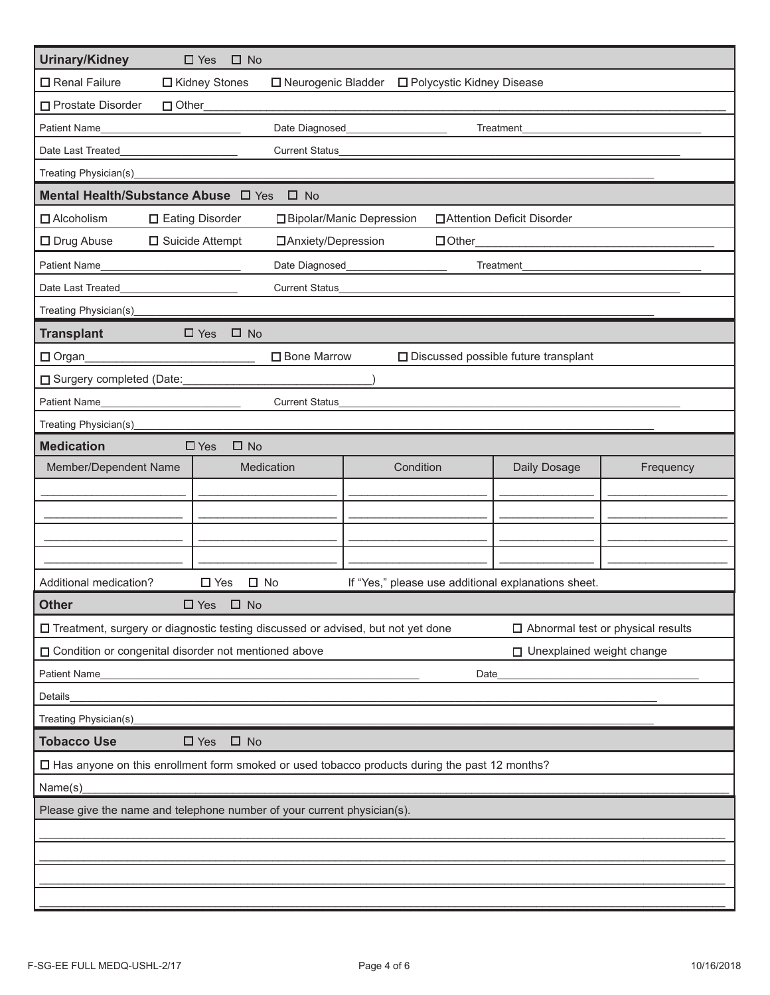| <b>Urinary/Kidney</b>                                                                                          | $\square$ Yes<br>$\square$ No                                                   |                      |                             |                                        |                                          |
|----------------------------------------------------------------------------------------------------------------|---------------------------------------------------------------------------------|----------------------|-----------------------------|----------------------------------------|------------------------------------------|
| □ Renal Failure                                                                                                | □ Kidney Stones                                                                 | □ Neurogenic Bladder | □ Polycystic Kidney Disease |                                        |                                          |
| □ Prostate Disorder<br>$\Box$ Other                                                                            |                                                                                 |                      |                             |                                        |                                          |
| Patient Name                                                                                                   | Date Diagnosed<br>Treatment                                                     |                      |                             |                                        |                                          |
| Date Last Treated                                                                                              | <b>Current Status</b>                                                           |                      |                             |                                        |                                          |
| Treating Physician(s)                                                                                          |                                                                                 |                      |                             |                                        |                                          |
| Mental Health/Substance Abuse $\Box$ Yes                                                                       | $\square$ No                                                                    |                      |                             |                                        |                                          |
| $\Box$ Alcoholism                                                                                              | □ Eating Disorder<br>□ Bipolar/Manic Depression<br>□ Attention Deficit Disorder |                      |                             |                                        |                                          |
| $\square$ Drug Abuse                                                                                           | $\Box$ Suicide Attempt                                                          | □ Anxiety/Depression | $\Box$ Other                |                                        |                                          |
| Patient Name                                                                                                   | Date Diagnosed                                                                  |                      |                             | Treatment                              |                                          |
| Date Last Treated                                                                                              | <b>Current Status</b>                                                           |                      |                             |                                        |                                          |
| Treating Physician(s)                                                                                          |                                                                                 |                      |                             |                                        |                                          |
| <b>Transplant</b>                                                                                              | $\Box$ Yes<br>$\Box$ No                                                         |                      |                             |                                        |                                          |
| $\Box$ Organ                                                                                                   | □ Bone Marrow                                                                   |                      |                             | □ Discussed possible future transplant |                                          |
| □ Surgery completed (Date:                                                                                     |                                                                                 |                      |                             |                                        |                                          |
| <b>Patient Name</b>                                                                                            | <b>Current Status</b>                                                           |                      |                             |                                        |                                          |
| Treating Physician(s)                                                                                          |                                                                                 |                      |                             |                                        |                                          |
| <b>Medication</b>                                                                                              | $\square$ Yes<br>$\square$ No                                                   |                      |                             |                                        |                                          |
| Member/Dependent Name                                                                                          | Medication                                                                      |                      | Condition                   | Daily Dosage                           | Frequency                                |
|                                                                                                                |                                                                                 |                      |                             |                                        |                                          |
|                                                                                                                |                                                                                 |                      |                             |                                        |                                          |
|                                                                                                                |                                                                                 |                      |                             |                                        |                                          |
|                                                                                                                |                                                                                 |                      |                             |                                        |                                          |
| Additional medication?<br>$\square$ Yes<br>$\square$ No<br>If "Yes," please use additional explanations sheet. |                                                                                 |                      |                             |                                        |                                          |
| <b>Other</b>                                                                                                   | $\Box$ Yes<br>$\square$ No                                                      |                      |                             |                                        |                                          |
| □ Treatment, surgery or diagnostic testing discussed or advised, but not yet done                              |                                                                                 |                      |                             |                                        | $\Box$ Abnormal test or physical results |
| □ Condition or congenital disorder not mentioned above<br>□ Unexplained weight change                          |                                                                                 |                      |                             |                                        |                                          |
| <b>Patient Name</b><br>Date                                                                                    |                                                                                 |                      |                             |                                        |                                          |
| Details                                                                                                        |                                                                                 |                      |                             |                                        |                                          |
| Treating Physician(s)                                                                                          |                                                                                 |                      |                             |                                        |                                          |
| <b>Tobacco Use</b><br>$\Box$ Yes<br>$\Box$ No                                                                  |                                                                                 |                      |                             |                                        |                                          |
| □ Has anyone on this enrollment form smoked or used tobacco products during the past 12 months?                |                                                                                 |                      |                             |                                        |                                          |
| Name(s)                                                                                                        |                                                                                 |                      |                             |                                        |                                          |
| Please give the name and telephone number of your current physician(s).                                        |                                                                                 |                      |                             |                                        |                                          |
|                                                                                                                |                                                                                 |                      |                             |                                        |                                          |
|                                                                                                                |                                                                                 |                      |                             |                                        |                                          |
|                                                                                                                |                                                                                 |                      |                             |                                        |                                          |
|                                                                                                                |                                                                                 |                      |                             |                                        |                                          |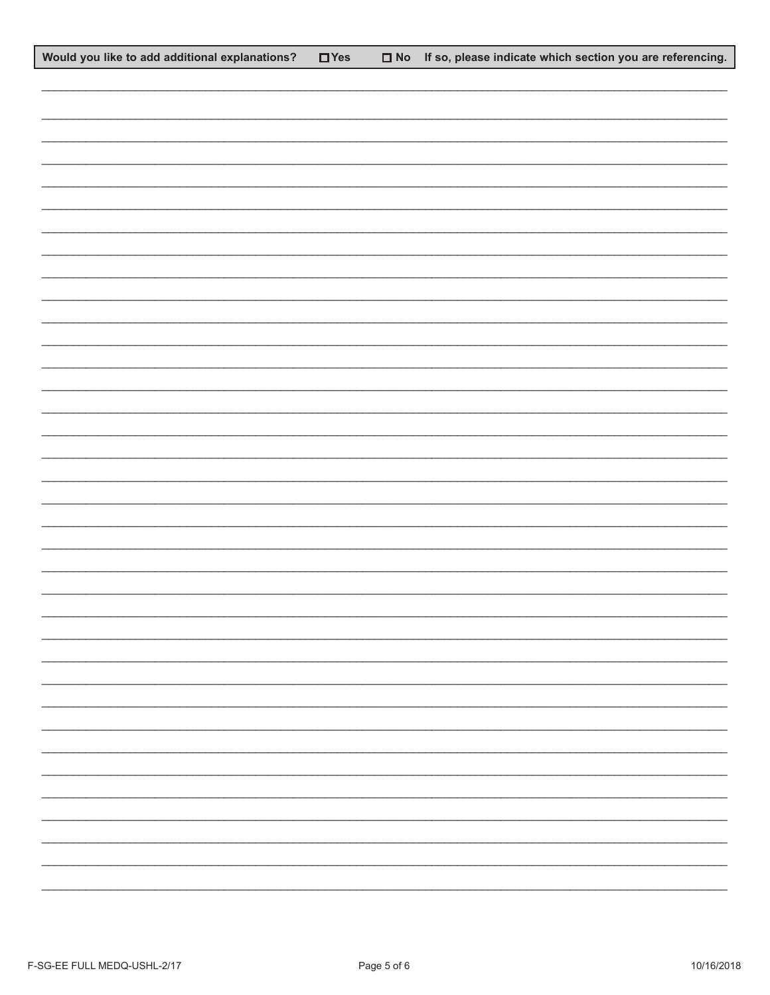| Would you like to add additional explanations? | $\Box$ Yes | $\Box$ No If so, please indicate which section you are referencing. |
|------------------------------------------------|------------|---------------------------------------------------------------------|
|                                                |            |                                                                     |
|                                                |            |                                                                     |
|                                                |            |                                                                     |
|                                                |            |                                                                     |
|                                                |            |                                                                     |
|                                                |            |                                                                     |
|                                                |            |                                                                     |
|                                                |            |                                                                     |
|                                                |            |                                                                     |
|                                                |            |                                                                     |
|                                                |            |                                                                     |
|                                                |            |                                                                     |
|                                                |            |                                                                     |
|                                                |            |                                                                     |
|                                                |            |                                                                     |
|                                                |            |                                                                     |
|                                                |            |                                                                     |
|                                                |            |                                                                     |
|                                                |            |                                                                     |
|                                                |            |                                                                     |
|                                                |            |                                                                     |
|                                                |            |                                                                     |
|                                                |            |                                                                     |
|                                                |            |                                                                     |
|                                                |            |                                                                     |
|                                                |            |                                                                     |
|                                                |            |                                                                     |
|                                                |            | $\overline{\phantom{0}}$                                            |
|                                                |            |                                                                     |
|                                                |            |                                                                     |
|                                                |            |                                                                     |
|                                                |            |                                                                     |
|                                                |            |                                                                     |
|                                                |            | Ξ.                                                                  |
|                                                |            |                                                                     |
|                                                |            |                                                                     |
|                                                |            |                                                                     |
|                                                |            |                                                                     |
|                                                |            |                                                                     |